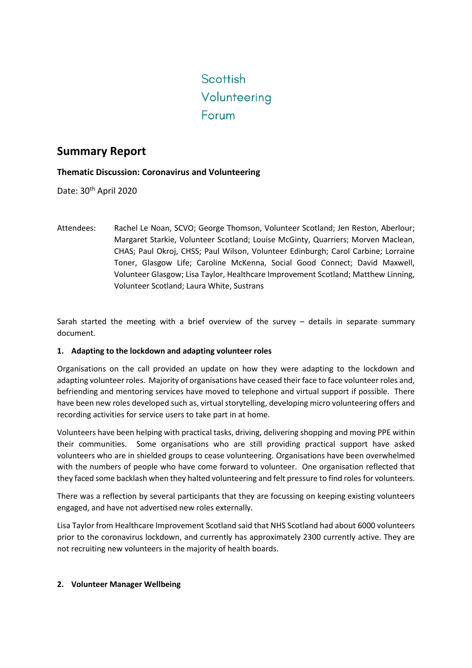# Scottish Volunteering Forum

# **Summary Report**

# **Thematic Discussion: Coronavirus and Volunteering**

Date: 30<sup>th</sup> April 2020

Attendees: Rachel Le Noan, SCVO; George Thomson, Volunteer Scotland; Jen Reston, Aberlour; Margaret Starkie, Volunteer Scotland; Louise McGinty, Quarriers; Morven Maclean, CHAS; Paul Okroj, CHSS; Paul Wilson, Volunteer Edinburgh; Carol Carbine; Lorraine Toner, Glasgow Life; Caroline McKenna, Social Good Connect; David Maxwell, Volunteer Glasgow; Lisa Taylor, Healthcare Improvement Scotland; Matthew Linning, Volunteer Scotland; Laura White, Sustrans

Sarah started the meeting with a brief overview of the survey – details in separate summary document.

## **1. Adapting to the lockdown and adapting volunteer roles**

Organisations on the call provided an update on how they were adapting to the lockdown and adapting volunteer roles. Majority of organisations have ceased their face to face volunteer roles and, befriending and mentoring services have moved to telephone and virtual support if possible. There have been new roles developed such as, virtual storytelling, developing micro volunteering offers and recording activities for service users to take part in at home.

Volunteers have been helping with practical tasks, driving, delivering shopping and moving PPE within their communities. Some organisations who are still providing practical support have asked volunteers who are in shielded groups to cease volunteering. Organisations have been overwhelmed with the numbers of people who have come forward to volunteer. One organisation reflected that they faced some backlash when they halted volunteering and felt pressure to find roles for volunteers.

There was a reflection by several participants that they are focussing on keeping existing volunteers engaged, and have not advertised new roles externally.

Lisa Taylor from Healthcare Improvement Scotland said that NHS Scotland had about 6000 volunteers prior to the coronavirus lockdown, and currently has approximately 2300 currently active. They are not recruiting new volunteers in the majority of health boards.

## **2. Volunteer Manager Wellbeing**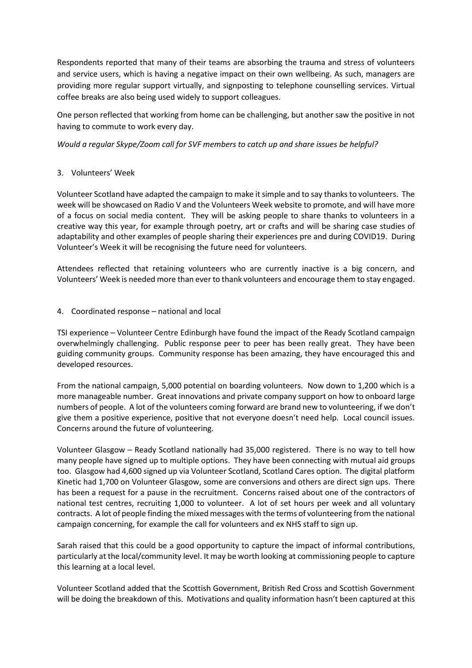Respondents reported that many of their teams are absorbing the trauma and stress of volunteers and service users, which is having a negative impact on their own wellbeing. As such, managers are providing more regular support virtually, and signposting to telephone counselling services. Virtual coffee breaks are also being used widely to support colleagues.

One person reflected that working from home can be challenging, but another saw the positive in not having to commute to work every day.

*Would a regular Skype/Zoom call for SVF members to catch up and share issues be helpful?*

#### 3. Volunteers' Week

Volunteer Scotland have adapted the campaign to make it simple and to say thanksto volunteers. The week will be showcased on Radio V and the Volunteers Week website to promote, and will have more of a focus on social media content. They will be asking people to share thanks to volunteers in a creative way this year, for example through poetry, art or crafts and will be sharing case studies of adaptability and other examples of people sharing their experiences pre and during COVID19. During Volunteer's Week it will be recognising the future need for volunteers.

Attendees reflected that retaining volunteers who are currently inactive is a big concern, and Volunteers' Week is needed more than ever to thank volunteers and encourage them to stay engaged.

#### 4. Coordinated response – national and local

TSI experience – Volunteer Centre Edinburgh have found the impact of the Ready Scotland campaign overwhelmingly challenging. Public response peer to peer has been really great. They have been guiding community groups. Community response has been amazing, they have encouraged this and developed resources.

From the national campaign, 5,000 potential on boarding volunteers. Now down to 1,200 which is a more manageable number. Great innovations and private company support on how to onboard large numbers of people. A lot of the volunteers coming forward are brand new to volunteering, if we don't give them a positive experience, positive that not everyone doesn't need help. Local council issues. Concerns around the future of volunteering.

Volunteer Glasgow – Ready Scotland nationally had 35,000 registered. There is no way to tell how many people have signed up to multiple options. They have been connecting with mutual aid groups too. Glasgow had 4,600 signed up via Volunteer Scotland, Scotland Cares option. The digital platform Kinetic had 1,700 on Volunteer Glasgow, some are conversions and others are direct sign ups. There has been a request for a pause in the recruitment. Concerns raised about one of the contractors of national test centres, recruiting 1,000 to volunteer. A lot of set hours per week and all voluntary contracts. A lot of people finding the mixed messages with the terms of volunteering from the national campaign concerning, for example the call for volunteers and ex NHS staff to sign up.

Sarah raised that this could be a good opportunity to capture the impact of informal contributions, particularly at the local/community level. It may be worth looking at commissioning people to capture this learning at a local level.

Volunteer Scotland added that the Scottish Government, British Red Cross and Scottish Government will be doing the breakdown of this. Motivations and quality information hasn't been captured at this